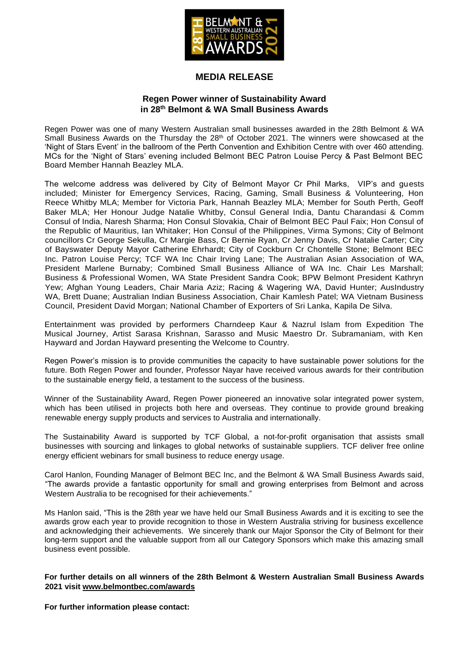

## **MEDIA RELEASE**

## **Regen Power winner of Sustainability Award in 28 th Belmont & WA Small Business Awards**

Regen Power was one of many Western Australian small businesses awarded in the 28th Belmont & WA Small Business Awards on the Thursday the  $28<sup>th</sup>$  of October 2021. The winners were showcased at the 'Night of Stars Event' in the ballroom of the Perth Convention and Exhibition Centre with over 460 attending. MCs for the 'Night of Stars' evening included Belmont BEC Patron Louise Percy & Past Belmont BEC Board Member Hannah Beazley MLA.

The welcome address was delivered by City of Belmont Mayor Cr Phil Marks, VIP's and guests included; Minister for Emergency Services, Racing, Gaming, Small Business & Volunteering, Hon Reece Whitby MLA; Member for Victoria Park, Hannah Beazley MLA; Member for South Perth, Geoff Baker MLA; Her Honour Judge Natalie Whitby, Consul General India, Dantu Charandasi & Comm Consul of India, Naresh Sharma; Hon Consul Slovakia, Chair of Belmont BEC Paul Faix; Hon Consul of the Republic of Mauritius, Ian Whitaker; Hon Consul of the Philippines, Virma Symons; City of Belmont councillors Cr George Sekulla, Cr Margie Bass, Cr Bernie Ryan, Cr Jenny Davis, Cr Natalie Carter; City of Bayswater Deputy Mayor Catherine Ehrhardt; City of Cockburn Cr Chontelle Stone; Belmont BEC Inc. Patron Louise Percy; TCF WA Inc Chair Irving Lane; The Australian Asian Association of WA, President Marlene Burnaby; Combined Small Business Alliance of WA Inc. Chair Les Marshall; Business & Professional Women, WA State President Sandra Cook; BPW Belmont President Kathryn Yew; Afghan Young Leaders, Chair Maria Aziz; Racing & Wagering WA, David Hunter; AusIndustry WA, Brett Duane; Australian Indian Business Association, Chair Kamlesh Patel; WA Vietnam Business Council, President David Morgan; National Chamber of Exporters of Sri Lanka, Kapila De Silva.

Entertainment was provided by performers Charndeep Kaur & Nazrul Islam from Expedition The Musical Journey, Artist Sarasa Krishnan, Sarasso and Music Maestro Dr. Subramaniam, with Ken Hayward and Jordan Hayward presenting the Welcome to Country.

Regen Power's mission is to provide communities the capacity to have sustainable power solutions for the future. Both Regen Power and founder, Professor Nayar have received various awards for their contribution to the sustainable energy field, a testament to the success of the business.

Winner of the Sustainability Award, Regen Power pioneered an innovative solar integrated power system, which has been utilised in projects both here and overseas. They continue to provide ground breaking renewable energy supply products and services to Australia and internationally.

The Sustainability Award is supported by TCF Global, a not-for-profit organisation that assists small businesses with sourcing and linkages to global networks of sustainable suppliers. TCF deliver free online energy efficient webinars for small business to reduce energy usage.

Carol Hanlon, Founding Manager of Belmont BEC Inc, and the Belmont & WA Small Business Awards said, "The awards provide a fantastic opportunity for small and growing enterprises from Belmont and across Western Australia to be recognised for their achievements."

Ms Hanlon said, "This is the 28th year we have held our Small Business Awards and it is exciting to see the awards grow each year to provide recognition to those in Western Australia striving for business excellence and acknowledging their achievements. We sincerely thank our Major Sponsor the City of Belmont for their long-term support and the valuable support from all our Category Sponsors which make this amazing small business event possible.

## **For further details on all winners of the 28th Belmont & Western Australian Small Business Awards 2021 visit [www.belmontbec.com/awards](http://www.belmontbec.com/awards)**

**For further information please contact:**